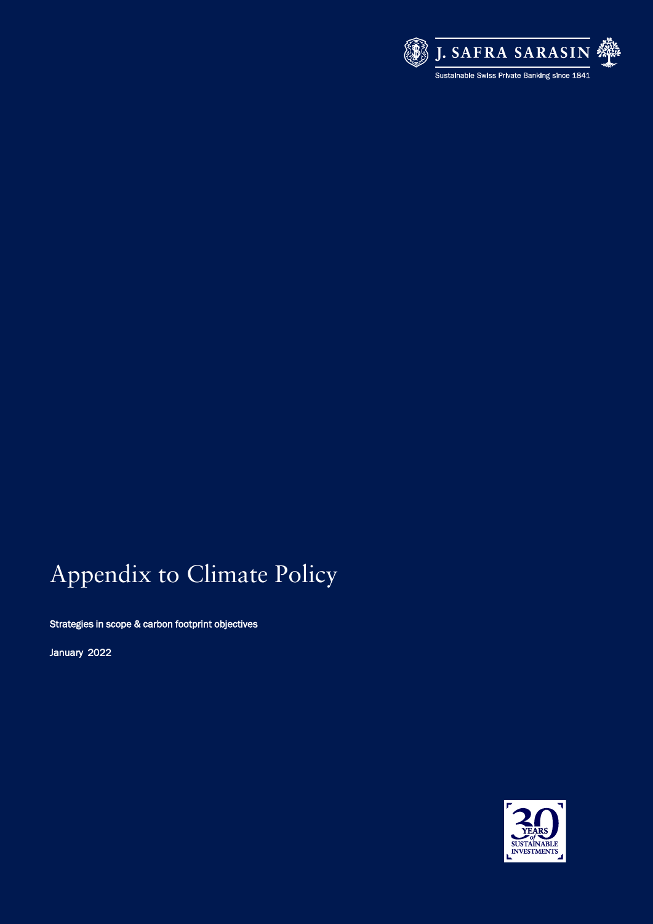

# Appendix to Climate Policy

Strategies in scope & carbon footprint objectives

January 2022

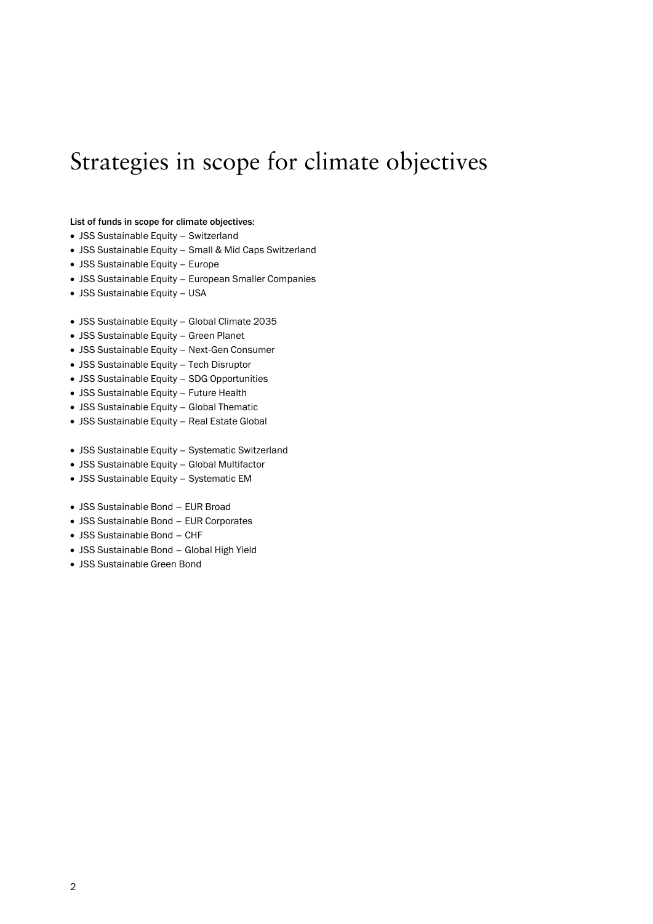# Strategies in scope for climate objectives

### List of funds in scope for climate objectives:

- JSS Sustainable Equity Switzerland
- JSS Sustainable Equity Small & Mid Caps Switzerland
- JSS Sustainable Equity Europe
- JSS Sustainable Equity European Smaller Companies
- JSS Sustainable Equity USA
- JSS Sustainable Equity Global Climate 2035
- JSS Sustainable Equity Green Planet
- JSS Sustainable Equity Next-Gen Consumer
- JSS Sustainable Equity Tech Disruptor
- JSS Sustainable Equity SDG Opportunities
- JSS Sustainable Equity Future Health
- JSS Sustainable Equity Global Thematic
- JSS Sustainable Equity Real Estate Global
- JSS Sustainable Equity Systematic Switzerland
- JSS Sustainable Equity Global Multifactor
- JSS Sustainable Equity Systematic EM
- JSS Sustainable Bond EUR Broad
- JSS Sustainable Bond EUR Corporates
- JSS Sustainable Bond CHF
- JSS Sustainable Bond Global High Yield
- JSS Sustainable Green Bond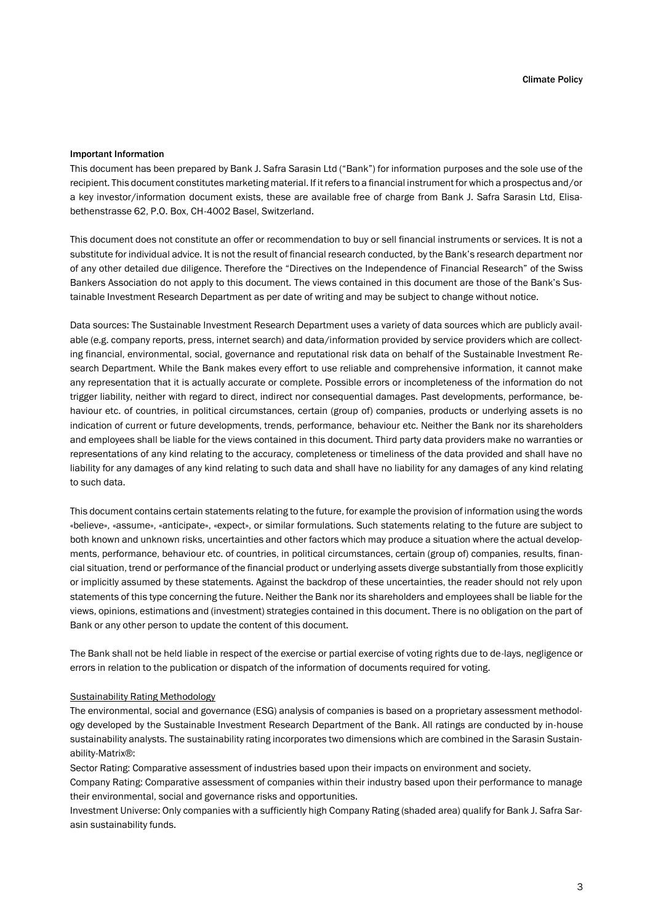#### Important Information

This document has been prepared by Bank J. Safra Sarasin Ltd ("Bank") for information purposes and the sole use of the recipient. This document constitutes marketing material. If it refers to a financial instrument for which a prospectus and/or a key investor/information document exists, these are available free of charge from Bank J. Safra Sarasin Ltd, Elisabethenstrasse 62, P.O. Box, CH-4002 Basel, Switzerland.

This document does not constitute an offer or recommendation to buy or sell financial instruments or services. It is not a substitute for individual advice. It is not the result of financial research conducted, by the Bank's research department nor of any other detailed due diligence. Therefore the "Directives on the Independence of Financial Research" of the Swiss Bankers Association do not apply to this document. The views contained in this document are those of the Bank's Sustainable Investment Research Department as per date of writing and may be subject to change without notice.

Data sources: The Sustainable Investment Research Department uses a variety of data sources which are publicly available (e.g. company reports, press, internet search) and data/information provided by service providers which are collecting financial, environmental, social, governance and reputational risk data on behalf of the Sustainable Investment Research Department. While the Bank makes every effort to use reliable and comprehensive information, it cannot make any representation that it is actually accurate or complete. Possible errors or incompleteness of the information do not trigger liability, neither with regard to direct, indirect nor consequential damages. Past developments, performance, behaviour etc. of countries, in political circumstances, certain (group of) companies, products or underlying assets is no indication of current or future developments, trends, performance, behaviour etc. Neither the Bank nor its shareholders and employees shall be liable for the views contained in this document. Third party data providers make no warranties or representations of any kind relating to the accuracy, completeness or timeliness of the data provided and shall have no liability for any damages of any kind relating to such data and shall have no liability for any damages of any kind relating to such data.

This document contains certain statements relating to the future, for example the provision of information using the words «believe», «assume», «anticipate», «expect», or similar formulations. Such statements relating to the future are subject to both known and unknown risks, uncertainties and other factors which may produce a situation where the actual developments, performance, behaviour etc. of countries, in political circumstances, certain (group of) companies, results, financial situation, trend or performance of the financial product or underlying assets diverge substantially from those explicitly or implicitly assumed by these statements. Against the backdrop of these uncertainties, the reader should not rely upon statements of this type concerning the future. Neither the Bank nor its shareholders and employees shall be liable for the views, opinions, estimations and (investment) strategies contained in this document. There is no obligation on the part of Bank or any other person to update the content of this document.

The Bank shall not be held liable in respect of the exercise or partial exercise of voting rights due to de-lays, negligence or errors in relation to the publication or dispatch of the information of documents required for voting.

#### Sustainability Rating Methodology

The environmental, social and governance (ESG) analysis of companies is based on a proprietary assessment methodology developed by the Sustainable Investment Research Department of the Bank. All ratings are conducted by in-house sustainability analysts. The sustainability rating incorporates two dimensions which are combined in the Sarasin Sustainability-Matrix®:

Sector Rating: Comparative assessment of industries based upon their impacts on environment and society.

Company Rating: Comparative assessment of companies within their industry based upon their performance to manage their environmental, social and governance risks and opportunities.

Investment Universe: Only companies with a sufficiently high Company Rating (shaded area) qualify for Bank J. Safra Sarasin sustainability funds.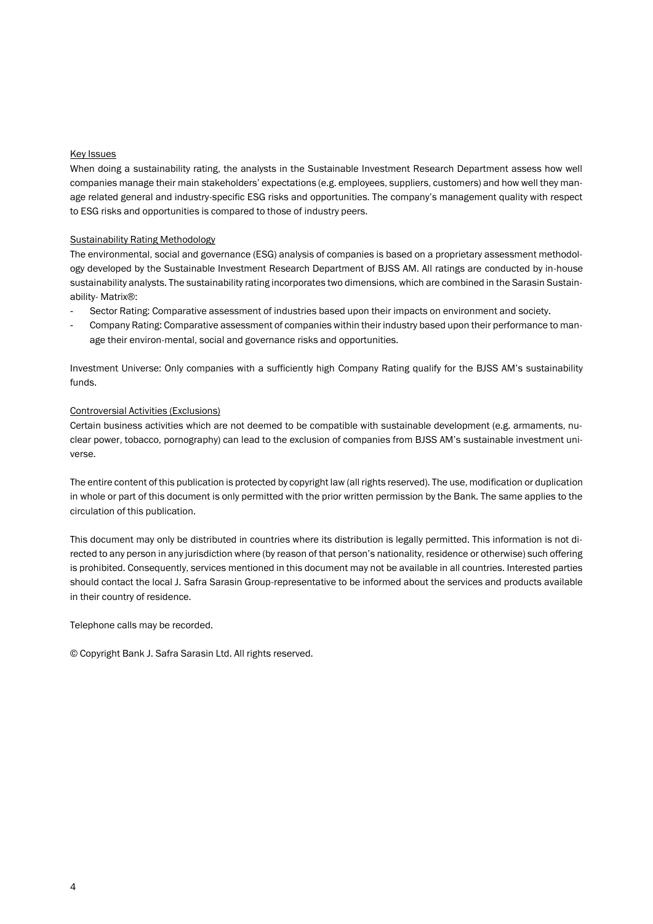#### Key Issues

When doing a sustainability rating, the analysts in the Sustainable Investment Research Department assess how well companies manage their main stakeholders' expectations (e.g. employees, suppliers, customers) and how well they manage related general and industry-specific ESG risks and opportunities. The company's management quality with respect to ESG risks and opportunities is compared to those of industry peers.

#### Sustainability Rating Methodology

The environmental, social and governance (ESG) analysis of companies is based on a proprietary assessment methodology developed by the Sustainable Investment Research Department of BJSS AM. All ratings are conducted by in-house sustainability analysts. The sustainability rating incorporates two dimensions, which are combined in the Sarasin Sustainability- Matrix®:

- Sector Rating: Comparative assessment of industries based upon their impacts on environment and society.
- Company Rating: Comparative assessment of companies within their industry based upon their performance to manage their environ-mental, social and governance risks and opportunities.

Investment Universe: Only companies with a sufficiently high Company Rating qualify for the BJSS AM's sustainability funds.

#### Controversial Activities (Exclusions)

Certain business activities which are not deemed to be compatible with sustainable development (e.g. armaments, nuclear power, tobacco, pornography) can lead to the exclusion of companies from BJSS AM's sustainable investment universe.

The entire content of this publication is protected by copyright law (all rights reserved). The use, modification or duplication in whole or part of this document is only permitted with the prior written permission by the Bank. The same applies to the circulation of this publication.

This document may only be distributed in countries where its distribution is legally permitted. This information is not directed to any person in any jurisdiction where (by reason of that person's nationality, residence or otherwise) such offering is prohibited. Consequently, services mentioned in this document may not be available in all countries. Interested parties should contact the local J. Safra Sarasin Group-representative to be informed about the services and products available in their country of residence.

Telephone calls may be recorded.

© Copyright Bank J. Safra Sarasin Ltd. All rights reserved.